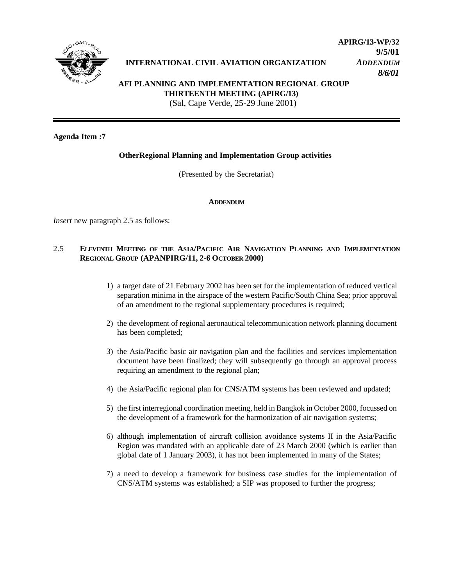

# **INTERNATIONAL CIVIL AVIATION ORGANIZATION** *ADDENDUM*

**APIRG/13-WP/32 9/5/01** *8/6/01*

## **AFI PLANNING AND IMPLEMENTATION REGIONAL GROUP THIRTEENTH MEETING (APIRG/13)** (Sal, Cape Verde, 25-29 June 2001)

## **Agenda Item :7**

### **OtherRegional Planning and Implementation Group activities**

(Presented by the Secretariat)

#### **ADDENDUM**

*Insert* new paragraph 2.5 as follows:

#### 2.5 **ELEVENTH MEETING OF THE ASIA/PACIFIC AIR NAVIGATION PLANNING AND IMPLEMENTATION REGIONAL GROUP (APANPIRG/11, 2-6 OCTOBER 2000)**

- 1) a target date of 21 February 2002 has been set for the implementation of reduced vertical separation minima in the airspace of the western Pacific/South China Sea; prior approval of an amendment to the regional supplementary procedures is required;
- 2) the development of regional aeronautical telecommunication network planning document has been completed;
- 3) the Asia/Pacific basic air navigation plan and the facilities and services implementation document have been finalized; they will subsequently go through an approval process requiring an amendment to the regional plan;
- 4) the Asia/Pacific regional plan for CNS/ATM systems has been reviewed and updated;
- 5) the first interregional coordination meeting, held in Bangkok in October 2000, focussed on the development of a framework for the harmonization of air navigation systems;
- 6) although implementation of aircraft collision avoidance systems II in the Asia/Pacific Region was mandated with an applicable date of 23 March 2000 (which is earlier than global date of 1 January 2003), it has not been implemented in many of the States;
- 7) a need to develop a framework for business case studies for the implementation of CNS/ATM systems was established; a SIP was proposed to further the progress;